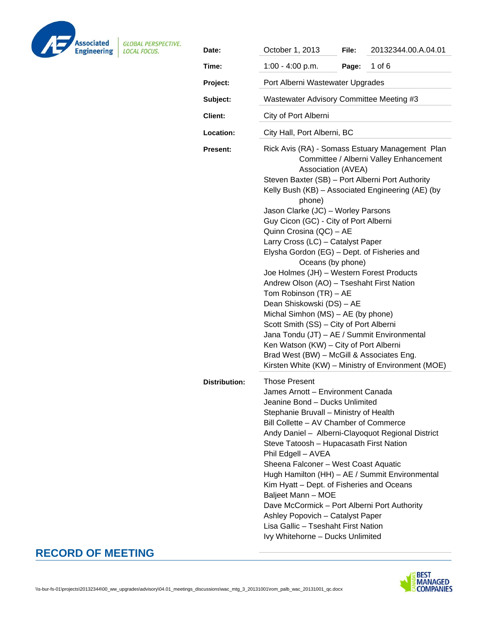

| Date:                                                                                                                                                                                                                                                                                                                                                                                                                                                                                                                                                                                                                                                                                                                                                                                                  | October 1, 2013                                                                                                                                                                                                                                                                                                                                                                                                                                                                                                            | File:                                                                                        | 20132344.00.A.04.01                                                                                 |  |  |
|--------------------------------------------------------------------------------------------------------------------------------------------------------------------------------------------------------------------------------------------------------------------------------------------------------------------------------------------------------------------------------------------------------------------------------------------------------------------------------------------------------------------------------------------------------------------------------------------------------------------------------------------------------------------------------------------------------------------------------------------------------------------------------------------------------|----------------------------------------------------------------------------------------------------------------------------------------------------------------------------------------------------------------------------------------------------------------------------------------------------------------------------------------------------------------------------------------------------------------------------------------------------------------------------------------------------------------------------|----------------------------------------------------------------------------------------------|-----------------------------------------------------------------------------------------------------|--|--|
| Time:                                                                                                                                                                                                                                                                                                                                                                                                                                                                                                                                                                                                                                                                                                                                                                                                  | 1:00 - 4:00 p.m.                                                                                                                                                                                                                                                                                                                                                                                                                                                                                                           | Page:                                                                                        | 1 of 6                                                                                              |  |  |
| Project:                                                                                                                                                                                                                                                                                                                                                                                                                                                                                                                                                                                                                                                                                                                                                                                               | Port Alberni Wastewater Upgrades                                                                                                                                                                                                                                                                                                                                                                                                                                                                                           |                                                                                              |                                                                                                     |  |  |
| Subject:                                                                                                                                                                                                                                                                                                                                                                                                                                                                                                                                                                                                                                                                                                                                                                                               | Wastewater Advisory Committee Meeting #3                                                                                                                                                                                                                                                                                                                                                                                                                                                                                   |                                                                                              |                                                                                                     |  |  |
| <b>Client:</b>                                                                                                                                                                                                                                                                                                                                                                                                                                                                                                                                                                                                                                                                                                                                                                                         | City of Port Alberni                                                                                                                                                                                                                                                                                                                                                                                                                                                                                                       |                                                                                              |                                                                                                     |  |  |
| Location:                                                                                                                                                                                                                                                                                                                                                                                                                                                                                                                                                                                                                                                                                                                                                                                              | City Hall, Port Alberni, BC                                                                                                                                                                                                                                                                                                                                                                                                                                                                                                |                                                                                              |                                                                                                     |  |  |
| Rick Avis (RA) - Somass Estuary Management Plan<br><b>Present:</b><br>Association (AVEA)<br>Steven Baxter (SB) - Port Alberni Port Authority<br>Kelly Bush (KB) - Associated Engineering (AE) (by<br>phone)<br>Jason Clarke (JC) - Worley Parsons<br>Guy Cicon (GC) - City of Port Alberni<br>Quinn Crosina (QC) - AE<br>Larry Cross (LC) - Catalyst Paper<br>Elysha Gordon (EG) - Dept. of Fisheries and<br>Oceans (by phone)<br>Joe Holmes (JH) - Western Forest Products<br>Andrew Olson (AO) - Tseshaht First Nation<br>Tom Robinson (TR) - AE<br>Dean Shiskowski (DS) - AE<br>Michal Simhon (MS) - AE (by phone)<br>Scott Smith (SS) - City of Port Alberni<br>Jana Tondu (JT) - AE / Summit Environmental<br>Ken Watson (KW) - City of Port Alberni<br>Brad West (BW) - McGill & Associates Eng. |                                                                                                                                                                                                                                                                                                                                                                                                                                                                                                                            | Committee / Alberni Valley Enhancement<br>Kirsten White (KW) - Ministry of Environment (MOE) |                                                                                                     |  |  |
|                                                                                                                                                                                                                                                                                                                                                                                                                                                                                                                                                                                                                                                                                                                                                                                                        |                                                                                                                                                                                                                                                                                                                                                                                                                                                                                                                            |                                                                                              |                                                                                                     |  |  |
| <b>Distribution:</b>                                                                                                                                                                                                                                                                                                                                                                                                                                                                                                                                                                                                                                                                                                                                                                                   | <b>Those Present</b><br>James Arnott - Environment Canada<br>Jeanine Bond - Ducks Unlimited<br>Stephanie Bruvall - Ministry of Health<br>Bill Collette - AV Chamber of Commerce<br>Steve Tatoosh - Hupacasath First Nation<br>Phil Edgell - AVEA<br>Sheena Falconer - West Coast Aquatic<br>Kim Hyatt - Dept. of Fisheries and Oceans<br>Baljeet Mann - MOE<br>Dave McCormick - Port Alberni Port Authority<br>Ashley Popovich - Catalyst Paper<br>Lisa Gallic - Tseshaht First Nation<br>Ivy Whitehorne - Ducks Unlimited |                                                                                              | Andy Daniel - Alberni-Clayoquot Regional District<br>Hugh Hamilton (HH) - AE / Summit Environmental |  |  |

# **RECORD OF MEETING**

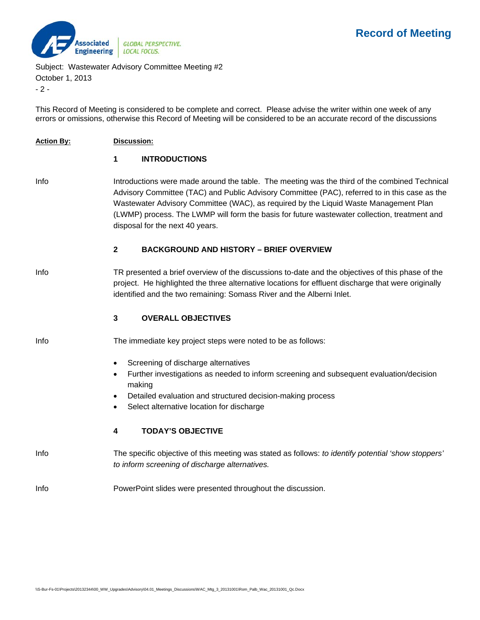

Subject: Wastewater Advisory Committee Meeting #2

October 1, 2013

 $-2 -$ 

This Record of Meeting is considered to be complete and correct. Please advise the writer within one week of any errors or omissions, otherwise this Record of Meeting will be considered to be an accurate record of the discussions

**Action By: Discussion:** 

### **1 INTRODUCTIONS**

Info Introductions were made around the table. The meeting was the third of the combined Technical Advisory Committee (TAC) and Public Advisory Committee (PAC), referred to in this case as the Wastewater Advisory Committee (WAC), as required by the Liquid Waste Management Plan (LWMP) process. The LWMP will form the basis for future wastewater collection, treatment and disposal for the next 40 years.

### **2 BACKGROUND AND HISTORY – BRIEF OVERVIEW**

Info TR presented a brief overview of the discussions to-date and the objectives of this phase of the project. He highlighted the three alternative locations for effluent discharge that were originally identified and the two remaining: Somass River and the Alberni Inlet.

#### **3 OVERALL OBJECTIVES**

- Info The immediate key project steps were noted to be as follows:
	- Screening of discharge alternatives
	- Further investigations as needed to inform screening and subsequent evaluation/decision making
	- Detailed evaluation and structured decision-making process
	- Select alternative location for discharge

## **4 TODAY'S OBJECTIVE**

Info The specific objective of this meeting was stated as follows: *to identify potential 'show stoppers' to inform screening of discharge alternatives.* 

## Info PowerPoint slides were presented throughout the discussion.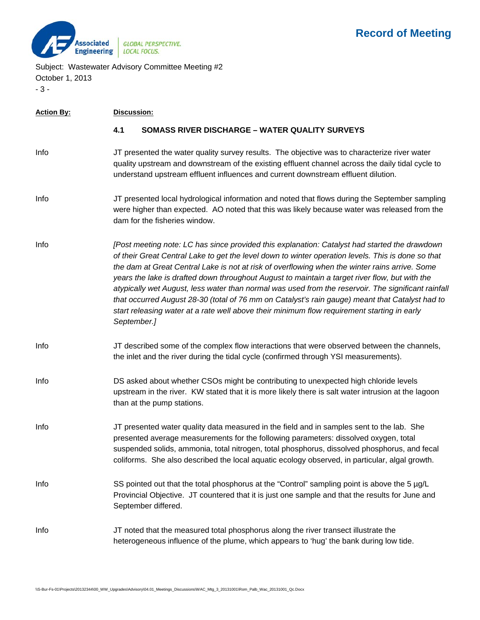

Subject: Wastewater Advisory Committee Meeting #2 October 1, 2013 - 3 -

# **Action By: Discussion: 4.1 SOMASS RIVER DISCHARGE – WATER QUALITY SURVEYS**  Info JT presented the water quality survey results. The objective was to characterize river water quality upstream and downstream of the existing effluent channel across the daily tidal cycle to understand upstream effluent influences and current downstream effluent dilution. Info JT presented local hydrological information and noted that flows during the September sampling were higher than expected. AO noted that this was likely because water was released from the dam for the fisheries window. Info *[Post meeting note: LC has since provided this explanation: Catalyst had started the drawdown of their Great Central Lake to get the level down to winter operation levels. This is done so that the dam at Great Central Lake is not at risk of overflowing when the winter rains arrive. Some years the lake is drafted down throughout August to maintain a target river flow, but with the atypically wet August, less water than normal was used from the reservoir. The significant rainfall that occurred August 28-30 (total of 76 mm on Catalyst's rain gauge) meant that Catalyst had to start releasing water at a rate well above their minimum flow requirement starting in early September.]*  Info JT described some of the complex flow interactions that were observed between the channels, the inlet and the river during the tidal cycle (confirmed through YSI measurements). Info DS asked about whether CSOs might be contributing to unexpected high chloride levels upstream in the river. KW stated that it is more likely there is salt water intrusion at the lagoon than at the pump stations. Info JT presented water quality data measured in the field and in samples sent to the lab. She presented average measurements for the following parameters: dissolved oxygen, total suspended solids, ammonia, total nitrogen, total phosphorus, dissolved phosphorus, and fecal coliforms. She also described the local aquatic ecology observed, in particular, algal growth. Info SS pointed out that the total phosphorus at the "Control" sampling point is above the 5 µg/L Provincial Objective. JT countered that it is just one sample and that the results for June and September differed. Info JT noted that the measured total phosphorus along the river transect illustrate the heterogeneous influence of the plume, which appears to 'hug' the bank during low tide.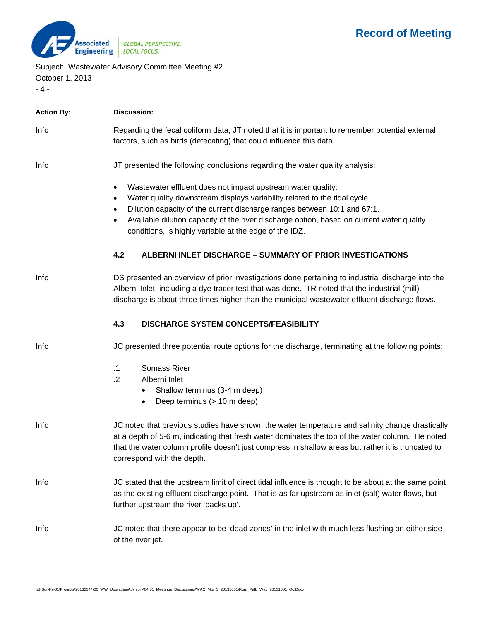

Subject: Wastewater Advisory Committee Meeting #2

October 1, 2013 - 4 -

| <b>Action By:</b> | Discussion:                                                                                                                                                                                                                                                                                                                                                                                                                     |  |
|-------------------|---------------------------------------------------------------------------------------------------------------------------------------------------------------------------------------------------------------------------------------------------------------------------------------------------------------------------------------------------------------------------------------------------------------------------------|--|
| Info              | Regarding the fecal coliform data, JT noted that it is important to remember potential external<br>factors, such as birds (defecating) that could influence this data.                                                                                                                                                                                                                                                          |  |
| Info              | JT presented the following conclusions regarding the water quality analysis:                                                                                                                                                                                                                                                                                                                                                    |  |
|                   | Wastewater effluent does not impact upstream water quality.<br>$\bullet$<br>Water quality downstream displays variability related to the tidal cycle.<br>$\bullet$<br>Dilution capacity of the current discharge ranges between 10:1 and 67:1.<br>$\bullet$<br>Available dilution capacity of the river discharge option, based on current water quality<br>$\bullet$<br>conditions, is highly variable at the edge of the IDZ. |  |
|                   | 4.2<br><b>ALBERNI INLET DISCHARGE - SUMMARY OF PRIOR INVESTIGATIONS</b>                                                                                                                                                                                                                                                                                                                                                         |  |
| Info              | DS presented an overview of prior investigations done pertaining to industrial discharge into the<br>Alberni Inlet, including a dye tracer test that was done. TR noted that the industrial (mill)<br>discharge is about three times higher than the municipal wastewater effluent discharge flows.                                                                                                                             |  |
|                   | 4.3<br>DISCHARGE SYSTEM CONCEPTS/FEASIBILITY                                                                                                                                                                                                                                                                                                                                                                                    |  |
| Info              | JC presented three potential route options for the discharge, terminating at the following points:                                                                                                                                                                                                                                                                                                                              |  |
|                   | $\cdot$ 1<br><b>Somass River</b><br>.2<br>Alberni Inlet<br>Shallow terminus (3-4 m deep)<br>Deep terminus (> 10 m deep)<br>$\bullet$                                                                                                                                                                                                                                                                                            |  |
| Info              | JC noted that previous studies have shown the water temperature and salinity change drastically<br>at a depth of 5-6 m, indicating that fresh water dominates the top of the water column. He noted<br>that the water column profile doesn't just compress in shallow areas but rather it is truncated to<br>correspond with the depth.                                                                                         |  |
| Info              | JC stated that the upstream limit of direct tidal influence is thought to be about at the same point<br>as the existing effluent discharge point. That is as far upstream as inlet (salt) water flows, but<br>further upstream the river 'backs up'.                                                                                                                                                                            |  |
| Info              | JC noted that there appear to be 'dead zones' in the inlet with much less flushing on either side<br>of the river jet.                                                                                                                                                                                                                                                                                                          |  |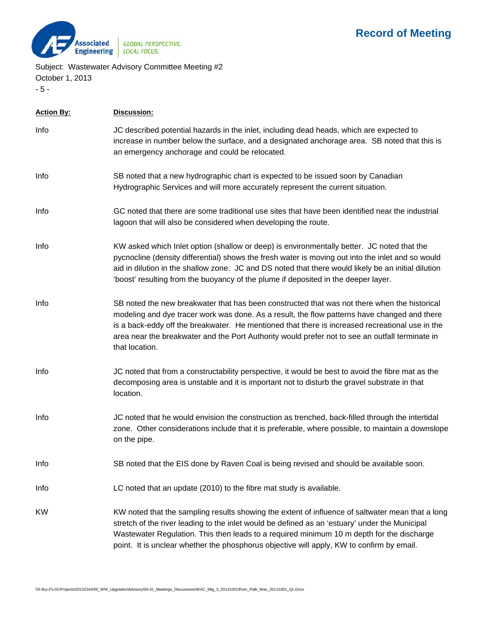

Subject: Wastewater Advisory Committee Meeting #2 October 1, 2013

- 5 -

| <b>Action By:</b> | Discussion:                                                                                                                                                                                                                                                                                                                                                                                                          |  |
|-------------------|----------------------------------------------------------------------------------------------------------------------------------------------------------------------------------------------------------------------------------------------------------------------------------------------------------------------------------------------------------------------------------------------------------------------|--|
| Info              | JC described potential hazards in the inlet, including dead heads, which are expected to<br>increase in number below the surface, and a designated anchorage area. SB noted that this is<br>an emergency anchorage and could be relocated.                                                                                                                                                                           |  |
| Info              | SB noted that a new hydrographic chart is expected to be issued soon by Canadian<br>Hydrographic Services and will more accurately represent the current situation.                                                                                                                                                                                                                                                  |  |
| Info              | GC noted that there are some traditional use sites that have been identified near the industrial<br>lagoon that will also be considered when developing the route.                                                                                                                                                                                                                                                   |  |
| Info              | KW asked which Inlet option (shallow or deep) is environmentally better. JC noted that the<br>pycnocline (density differential) shows the fresh water is moving out into the inlet and so would<br>aid in dilution in the shallow zone. JC and DS noted that there would likely be an initial dilution<br>'boost' resulting from the buoyancy of the plume if deposited in the deeper layer.                         |  |
| Info              | SB noted the new breakwater that has been constructed that was not there when the historical<br>modeling and dye tracer work was done. As a result, the flow patterns have changed and there<br>is a back-eddy off the breakwater. He mentioned that there is increased recreational use in the<br>area near the breakwater and the Port Authority would prefer not to see an outfall terminate in<br>that location. |  |
| Info              | JC noted that from a constructability perspective, it would be best to avoid the fibre mat as the<br>decomposing area is unstable and it is important not to disturb the gravel substrate in that<br>location.                                                                                                                                                                                                       |  |
| Info              | JC noted that he would envision the construction as trenched, back-filled through the intertidal<br>zone. Other considerations include that it is preferable, where possible, to maintain a downslope<br>on the pipe.                                                                                                                                                                                                |  |
| Info              | SB noted that the EIS done by Raven Coal is being revised and should be available soon.                                                                                                                                                                                                                                                                                                                              |  |
| Info              | LC noted that an update (2010) to the fibre mat study is available.                                                                                                                                                                                                                                                                                                                                                  |  |
| <b>KW</b>         | KW noted that the sampling results showing the extent of influence of saltwater mean that a long<br>stretch of the river leading to the inlet would be defined as an 'estuary' under the Municipal<br>Wastewater Regulation. This then leads to a required minimum 10 m depth for the discharge<br>point. It is unclear whether the phosphorus objective will apply, KW to confirm by email.                         |  |